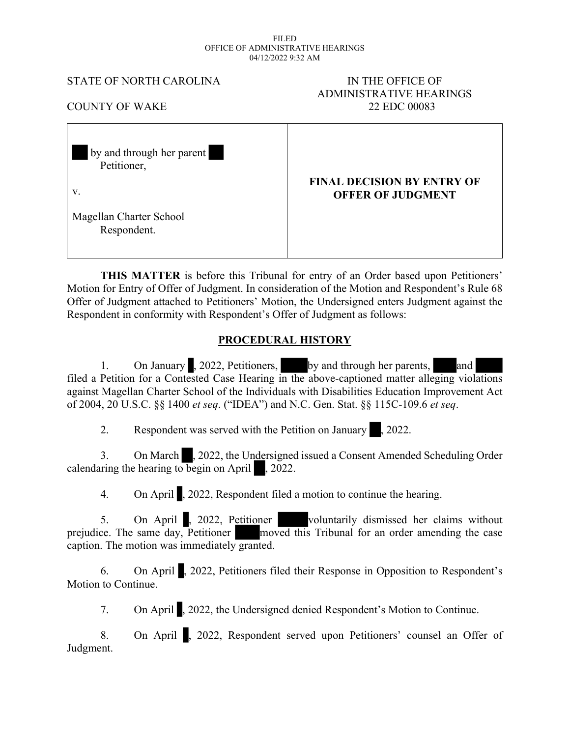#### FILED OFFICE OF ADMINISTRATIVE HEARINGS 04/12/2022 9:32 AM

#### STATE OF NORTH CAROLINA IN THE OFFICE OF

# ADMINISTRATIVE HEARINGS COUNTY OF WAKE 22 EDC 00083

| by and through her parent<br>Petitioner, |                                                               |
|------------------------------------------|---------------------------------------------------------------|
| V.                                       | <b>FINAL DECISION BY ENTRY OF</b><br><b>OFFER OF JUDGMENT</b> |
| Magellan Charter School<br>Respondent.   |                                                               |

**THIS MATTER** is before this Tribunal for entry of an Order based upon Petitioners' Motion for Entry of Offer of Judgment. In consideration of the Motion and Respondent's Rule 68 Offer of Judgment attached to Petitioners' Motion, the Undersigned enters Judgment against the Respondent in conformity with Respondent's Offer of Judgment as follows:

# **PROCEDURAL HISTORY**

1. On January , 2022, Petitioners, by and through her parents, and filed a Petition for a Contested Case Hearing in the above-captioned matter alleging violations against Magellan Charter School of the Individuals with Disabilities Education Improvement Act of 2004, 20 U.S.C. §§ 1400 *et seq*. ("IDEA") and N.C. Gen. Stat. §§ 115C-109.6 *et seq*.

2. Respondent was served with the Petition on January , 2022.

3. On March , 2022, the Undersigned issued a Consent Amended Scheduling Order calendaring the hearing to begin on April  $\sim 2022$ .

4. On April , 2022, Respondent filed a motion to continue the hearing.

5. On April , 2022, Petitioner voluntarily dismissed her claims without prejudice. The same day, Petitioner moved this Tribunal for an order amending the case caption. The motion was immediately granted.

6. On April , 2022, Petitioners filed their Response in Opposition to Respondent's Motion to Continue.

7. On April , 2022, the Undersigned denied Respondent's Motion to Continue.

8. On April , 2022, Respondent served upon Petitioners' counsel an Offer of Judgment.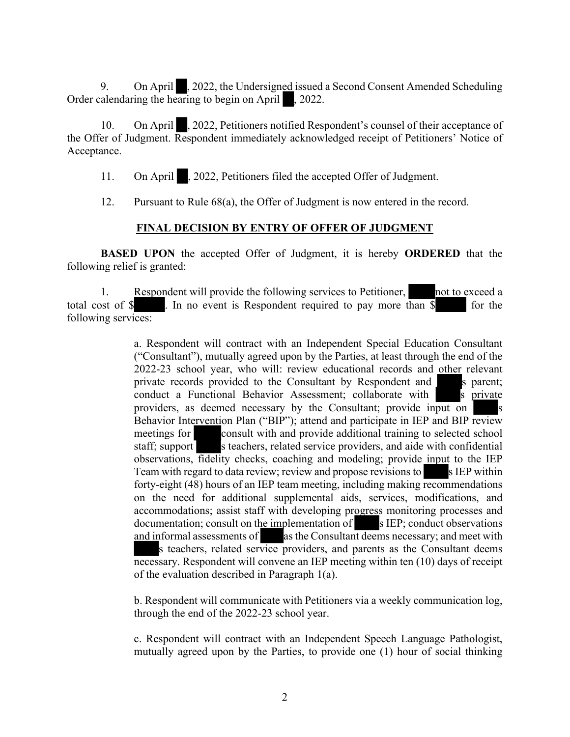9. On April , 2022, the Undersigned issued a Second Consent Amended Scheduling Order calendaring the hearing to begin on April  $\Box$ , 2022.

10. On April , 2022, Petitioners notified Respondent's counsel of their acceptance of the Offer of Judgment. Respondent immediately acknowledged receipt of Petitioners' Notice of Acceptance.

11. On April , 2022, Petitioners filed the accepted Offer of Judgment.

12. Pursuant to Rule 68(a), the Offer of Judgment is now entered in the record.

## **FINAL DECISION BY ENTRY OF OFFER OF JUDGMENT**

**BASED UPON** the accepted Offer of Judgment, it is hereby **ORDERED** that the following relief is granted:

1. Respondent will provide the following services to Petitioner, not to exceed a total cost of  $\frac{1}{2}$  . In no event is Respondent required to pay more than  $\frac{1}{2}$  for the following services:

> a. Respondent will contract with an Independent Special Education Consultant ("Consultant"), mutually agreed upon by the Parties, at least through the end of the 2022-23 school year, who will: review educational records and other relevant private records provided to the Consultant by Respondent and s parent; conduct a Functional Behavior Assessment; collaborate with s private providers, as deemed necessary by the Consultant; provide input on Behavior Intervention Plan ("BIP"); attend and participate in IEP and BIP review meetings for consult with and provide additional training to selected school staff; support steachers, related service providers, and aide with confidential observations, fidelity checks, coaching and modeling; provide input to the IEP Team with regard to data review; review and propose revisions to s IEP within forty-eight (48) hours of an IEP team meeting, including making recommendations on the need for additional supplemental aids, services, modifications, and accommodations; assist staff with developing progress monitoring processes and  $d$  documentation; consult on the implementation of  $\blacksquare$  s IEP; conduct observations and informal assessments of as the Consultant deems necessary; and meet with s teachers, related service providers, and parents as the Consultant deems necessary. Respondent will convene an IEP meeting within ten (10) days of receipt of the evaluation described in Paragraph 1(a).

> b. Respondent will communicate with Petitioners via a weekly communication log, through the end of the 2022-23 school year.

> c. Respondent will contract with an Independent Speech Language Pathologist, mutually agreed upon by the Parties, to provide one (1) hour of social thinking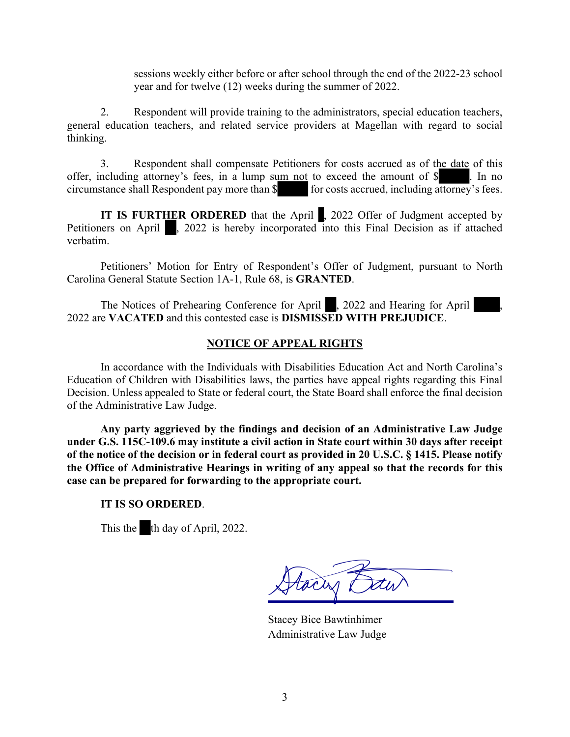sessions weekly either before or after school through the end of the 2022-23 school year and for twelve (12) weeks during the summer of 2022.

2. Respondent will provide training to the administrators, special education teachers, general education teachers, and related service providers at Magellan with regard to social thinking.

 3. Respondent shall compensate Petitioners for costs accrued as of the date of this offer, including attorney's fees, in a lump sum not to exceed the amount of \$ . In no circumstance shall Respondent pay more than \$ . for costs accrued, including attorney's fees. circumstance shall Respondent pay more than \$

**IT IS FURTHER ORDERED** that the April , 2022 Offer of Judgment accepted by Petitioners on April , 2022 is hereby incorporated into this Final Decision as if attached verbatim.

Petitioners' Motion for Entry of Respondent's Offer of Judgment, pursuant to North Carolina General Statute Section 1A-1, Rule 68, is **GRANTED**.

The Notices of Prehearing Conference for April , 2022 and Hearing for April 2022 are **VACATED** and this contested case is **DISMISSED WITH PREJUDICE**.

## **NOTICE OF APPEAL RIGHTS**

In accordance with the Individuals with Disabilities Education Act and North Carolina's Education of Children with Disabilities laws, the parties have appeal rights regarding this Final Decision. Unless appealed to State or federal court, the State Board shall enforce the final decision of the Administrative Law Judge.

**Any party aggrieved by the findings and decision of an Administrative Law Judge under G.S. 115C-109.6 may institute a civil action in State court within 30 days after receipt of the notice of the decision or in federal court as provided in 20 U.S.C. § 1415. Please notify the Office of Administrative Hearings in writing of any appeal so that the records for this case can be prepared for forwarding to the appropriate court.**

## **IT IS SO ORDERED**.

This the th day of April, 2022.

tocas ?

Stacey Bice Bawtinhimer Administrative Law Judge